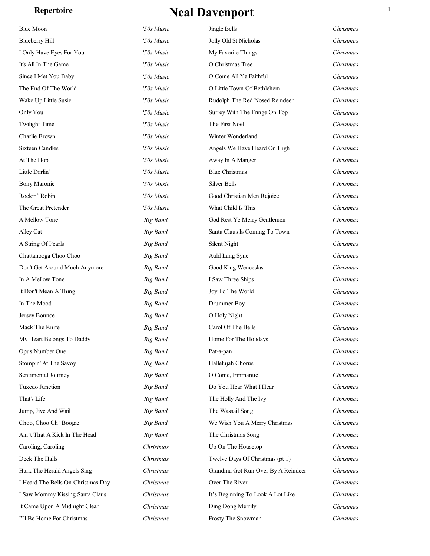| <b>Blue Moon</b>                   | '50s Music      | Jingle Bells                       | Christmas |
|------------------------------------|-----------------|------------------------------------|-----------|
| <b>Blueberry Hill</b>              | '50s Music      | Jolly Old St Nicholas              | Christmas |
| I Only Have Eyes For You           | '50s Music      | My Favorite Things                 | Christmas |
| It's All In The Game               | '50s Music      | O Christmas Tree                   | Christmas |
| Since I Met You Baby               | '50s Music      | O Come All Ye Faithful             | Christmas |
| The End Of The World               | '50s Music      | O Little Town Of Bethlehem         | Christmas |
| Wake Up Little Susie               | '50s Music      | Rudolph The Red Nosed Reindeer     | Christmas |
| Only You                           | '50s Music      | Surrey With The Fringe On Top      | Christmas |
| <b>Twilight Time</b>               | '50s Music      | The First Noel                     | Christmas |
| Charlie Brown                      | '50s Music      | Winter Wonderland                  | Christmas |
| <b>Sixteen Candles</b>             | '50s Music      | Angels We Have Heard On High       | Christmas |
| At The Hop                         | '50s Music      | Away In A Manger                   | Christmas |
| Little Darlin'                     | '50s Music      | <b>Blue Christmas</b>              | Christmas |
| <b>Bony Maronie</b>                | '50s Music      | <b>Silver Bells</b>                | Christmas |
| Rockin' Robin                      | '50s Music      | Good Christian Men Rejoice         | Christmas |
| The Great Pretender                | '50s Music      | What Child Is This                 | Christmas |
| A Mellow Tone                      | <b>Big Band</b> | God Rest Ye Merry Gentlemen        | Christmas |
| Alley Cat                          | <b>Big Band</b> | Santa Claus Is Coming To Town      | Christmas |
| A String Of Pearls                 | <b>Big Band</b> | Silent Night                       | Christmas |
| Chattanooga Choo Choo              | <b>Big Band</b> | Auld Lang Syne                     | Christmas |
| Don't Get Around Much Anymore      | <b>Big Band</b> | Good King Wenceslas                | Christmas |
| In A Mellow Tone                   | <b>Big Band</b> | I Saw Three Ships                  | Christmas |
| It Don't Mean A Thing              | <b>Big Band</b> | Joy To The World                   | Christmas |
| In The Mood                        | <b>Big Band</b> | Drummer Boy                        | Christmas |
| Jersey Bounce                      | <b>Big Band</b> | O Holy Night                       | Christmas |
| Mack The Knife                     | <b>Big Band</b> | Carol Of The Bells                 | Christmas |
| My Heart Belongs To Daddy          | <b>Big Band</b> | Home For The Holidays              | Christmas |
| Opus Number One                    | <b>Big Band</b> | Pat-a-pan                          | Christmas |
| Stompin' At The Savoy              | <b>Big Band</b> | Hallelujah Chorus                  | Christmas |
| Sentimental Journey                | <b>Big Band</b> | O Come, Emmanuel                   | Christmas |
| Tuxedo Junction                    | <b>Big Band</b> | Do You Hear What I Hear            | Christmas |
| That's Life                        | <b>Big Band</b> | The Holly And The Ivy              | Christmas |
| Jump, Jive And Wail                | <b>Big Band</b> | The Wassail Song                   | Christmas |
| Choo, Choo Ch' Boogie              | <b>Big Band</b> | We Wish You A Merry Christmas      | Christmas |
| Ain't That A Kick In The Head      | <b>Big Band</b> | The Christmas Song                 | Christmas |
| Caroling, Caroling                 | Christmas       | Up On The Housetop                 | Christmas |
| Deck The Halls                     | Christmas       | Twelve Days Of Christmas (pt 1)    | Christmas |
| Hark The Herald Angels Sing        | Christmas       | Grandma Got Run Over By A Reindeer | Christmas |
| I Heard The Bells On Christmas Day | Christmas       | Over The River                     | Christmas |
| I Saw Mommy Kissing Santa Claus    | Christmas       | It's Beginning To Look A Lot Like  | Christmas |
| It Came Upon A Midnight Clear      | Christmas       | Ding Dong Merrily                  | Christmas |
| I'll Be Home For Christmas         | Christmas       | Frosty The Snowman                 | Christmas |
|                                    |                 |                                    |           |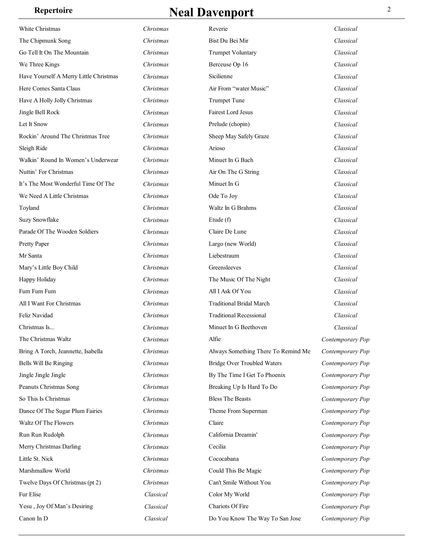| White Christmas<br>Reverie<br>Christmas<br>The Chipmunk Song<br>Christmas<br>Bist Du Bei Mir<br>Go Tell It On The Mountain<br><b>Trumpet Voluntary</b><br>Christmas<br>We Three Kings<br>Christmas<br>Berceuse Op 16<br>Sicilienne<br>Have Yourself A Merry Little Christmas<br>Christmas<br>Here Comes Santa Claus<br>Air From "water Music"<br>Christmas<br>Have A Holly Jolly Christmas<br><b>Trumpet Tune</b><br>Christmas<br><b>Fairest Lord Jesus</b><br>Jingle Bell Rock<br>Christmas<br>Let It Snow<br>Prelude (chopin)<br>Christmas<br>Rockin' Around The Christmas Tree<br>Sheep May Safely Graze<br>Christmas<br>Sleigh Ride<br>Arioso<br>Christmas<br>Walkin' Round In Women's Underwear<br>Christmas<br>Minuet In G Bach<br>Nuttin' For Christmas<br>Air On The G String<br>Christmas<br>It's The Most Wonderful Time Of The<br>Minuet In G<br>Christmas<br>We Need A Little Christmas<br>Ode To Joy<br>Christmas<br>Waltz In G Brahms<br>Toyland<br>Christmas<br>Suzy Snowflake<br>Etude (f)<br>Christmas<br>Parade Of The Wooden Soldiers<br>Claire De Lune<br>Christmas<br>Christmas<br>Pretty Paper<br>Largo (new World)<br>Liebestraum<br>Mr Santa<br>Christmas<br>Greensleeves<br>Mary's Little Boy Child<br>Christmas | Classical<br>Classical<br>Classical<br>Classical<br>Classical<br>Classical<br>Classical<br>Classical<br>Classical<br>Classical |
|-------------------------------------------------------------------------------------------------------------------------------------------------------------------------------------------------------------------------------------------------------------------------------------------------------------------------------------------------------------------------------------------------------------------------------------------------------------------------------------------------------------------------------------------------------------------------------------------------------------------------------------------------------------------------------------------------------------------------------------------------------------------------------------------------------------------------------------------------------------------------------------------------------------------------------------------------------------------------------------------------------------------------------------------------------------------------------------------------------------------------------------------------------------------------------------------------------------------------------------------|--------------------------------------------------------------------------------------------------------------------------------|
|                                                                                                                                                                                                                                                                                                                                                                                                                                                                                                                                                                                                                                                                                                                                                                                                                                                                                                                                                                                                                                                                                                                                                                                                                                           |                                                                                                                                |
|                                                                                                                                                                                                                                                                                                                                                                                                                                                                                                                                                                                                                                                                                                                                                                                                                                                                                                                                                                                                                                                                                                                                                                                                                                           |                                                                                                                                |
|                                                                                                                                                                                                                                                                                                                                                                                                                                                                                                                                                                                                                                                                                                                                                                                                                                                                                                                                                                                                                                                                                                                                                                                                                                           |                                                                                                                                |
|                                                                                                                                                                                                                                                                                                                                                                                                                                                                                                                                                                                                                                                                                                                                                                                                                                                                                                                                                                                                                                                                                                                                                                                                                                           |                                                                                                                                |
|                                                                                                                                                                                                                                                                                                                                                                                                                                                                                                                                                                                                                                                                                                                                                                                                                                                                                                                                                                                                                                                                                                                                                                                                                                           |                                                                                                                                |
|                                                                                                                                                                                                                                                                                                                                                                                                                                                                                                                                                                                                                                                                                                                                                                                                                                                                                                                                                                                                                                                                                                                                                                                                                                           |                                                                                                                                |
|                                                                                                                                                                                                                                                                                                                                                                                                                                                                                                                                                                                                                                                                                                                                                                                                                                                                                                                                                                                                                                                                                                                                                                                                                                           |                                                                                                                                |
|                                                                                                                                                                                                                                                                                                                                                                                                                                                                                                                                                                                                                                                                                                                                                                                                                                                                                                                                                                                                                                                                                                                                                                                                                                           |                                                                                                                                |
|                                                                                                                                                                                                                                                                                                                                                                                                                                                                                                                                                                                                                                                                                                                                                                                                                                                                                                                                                                                                                                                                                                                                                                                                                                           |                                                                                                                                |
|                                                                                                                                                                                                                                                                                                                                                                                                                                                                                                                                                                                                                                                                                                                                                                                                                                                                                                                                                                                                                                                                                                                                                                                                                                           |                                                                                                                                |
|                                                                                                                                                                                                                                                                                                                                                                                                                                                                                                                                                                                                                                                                                                                                                                                                                                                                                                                                                                                                                                                                                                                                                                                                                                           | Classical                                                                                                                      |
|                                                                                                                                                                                                                                                                                                                                                                                                                                                                                                                                                                                                                                                                                                                                                                                                                                                                                                                                                                                                                                                                                                                                                                                                                                           | Classical                                                                                                                      |
|                                                                                                                                                                                                                                                                                                                                                                                                                                                                                                                                                                                                                                                                                                                                                                                                                                                                                                                                                                                                                                                                                                                                                                                                                                           | Classical                                                                                                                      |
|                                                                                                                                                                                                                                                                                                                                                                                                                                                                                                                                                                                                                                                                                                                                                                                                                                                                                                                                                                                                                                                                                                                                                                                                                                           | Classical                                                                                                                      |
|                                                                                                                                                                                                                                                                                                                                                                                                                                                                                                                                                                                                                                                                                                                                                                                                                                                                                                                                                                                                                                                                                                                                                                                                                                           | Classical                                                                                                                      |
|                                                                                                                                                                                                                                                                                                                                                                                                                                                                                                                                                                                                                                                                                                                                                                                                                                                                                                                                                                                                                                                                                                                                                                                                                                           | Classical                                                                                                                      |
|                                                                                                                                                                                                                                                                                                                                                                                                                                                                                                                                                                                                                                                                                                                                                                                                                                                                                                                                                                                                                                                                                                                                                                                                                                           | Classical                                                                                                                      |
|                                                                                                                                                                                                                                                                                                                                                                                                                                                                                                                                                                                                                                                                                                                                                                                                                                                                                                                                                                                                                                                                                                                                                                                                                                           | Classical                                                                                                                      |
|                                                                                                                                                                                                                                                                                                                                                                                                                                                                                                                                                                                                                                                                                                                                                                                                                                                                                                                                                                                                                                                                                                                                                                                                                                           | Classical                                                                                                                      |
|                                                                                                                                                                                                                                                                                                                                                                                                                                                                                                                                                                                                                                                                                                                                                                                                                                                                                                                                                                                                                                                                                                                                                                                                                                           | Classical                                                                                                                      |
|                                                                                                                                                                                                                                                                                                                                                                                                                                                                                                                                                                                                                                                                                                                                                                                                                                                                                                                                                                                                                                                                                                                                                                                                                                           | Classical                                                                                                                      |
| Happy Holiday<br>The Music Of The Night<br>Christmas                                                                                                                                                                                                                                                                                                                                                                                                                                                                                                                                                                                                                                                                                                                                                                                                                                                                                                                                                                                                                                                                                                                                                                                      | Classical                                                                                                                      |
| Fum Fum Fum<br>All I Ask Of You<br>Christmas                                                                                                                                                                                                                                                                                                                                                                                                                                                                                                                                                                                                                                                                                                                                                                                                                                                                                                                                                                                                                                                                                                                                                                                              | Classical                                                                                                                      |
| All I Want For Christmas<br><b>Traditional Bridal March</b><br>Christmas                                                                                                                                                                                                                                                                                                                                                                                                                                                                                                                                                                                                                                                                                                                                                                                                                                                                                                                                                                                                                                                                                                                                                                  | Classical                                                                                                                      |
| Feliz Navidad<br><b>Traditional Recessional</b><br>Christmas                                                                                                                                                                                                                                                                                                                                                                                                                                                                                                                                                                                                                                                                                                                                                                                                                                                                                                                                                                                                                                                                                                                                                                              | Classical                                                                                                                      |
| Christmas Is<br>Minuet In G Beethoven<br>Christmas                                                                                                                                                                                                                                                                                                                                                                                                                                                                                                                                                                                                                                                                                                                                                                                                                                                                                                                                                                                                                                                                                                                                                                                        | Classical                                                                                                                      |
| The Christmas Waltz<br>Christmas<br>Alfie                                                                                                                                                                                                                                                                                                                                                                                                                                                                                                                                                                                                                                                                                                                                                                                                                                                                                                                                                                                                                                                                                                                                                                                                 | Contemporary Pop                                                                                                               |
| Bring A Torch, Jeannette, Isabella<br>Always Something There To Remind Me<br>Christmas                                                                                                                                                                                                                                                                                                                                                                                                                                                                                                                                                                                                                                                                                                                                                                                                                                                                                                                                                                                                                                                                                                                                                    | Contemporary Pop                                                                                                               |
| <b>Bridge Over Troubled Waters</b><br>Bells Will Be Ringing<br>Christmas                                                                                                                                                                                                                                                                                                                                                                                                                                                                                                                                                                                                                                                                                                                                                                                                                                                                                                                                                                                                                                                                                                                                                                  | Contemporary Pop                                                                                                               |
| By The Time I Get To Phoenix<br>Jingle Jingle Jingle<br>Christmas                                                                                                                                                                                                                                                                                                                                                                                                                                                                                                                                                                                                                                                                                                                                                                                                                                                                                                                                                                                                                                                                                                                                                                         | Contemporary Pop                                                                                                               |
| Peanuts Christmas Song<br>Christmas<br>Breaking Up Is Hard To Do                                                                                                                                                                                                                                                                                                                                                                                                                                                                                                                                                                                                                                                                                                                                                                                                                                                                                                                                                                                                                                                                                                                                                                          | Contemporary Pop                                                                                                               |
| So This Is Christmas<br><b>Bless The Beasts</b><br>Christmas                                                                                                                                                                                                                                                                                                                                                                                                                                                                                                                                                                                                                                                                                                                                                                                                                                                                                                                                                                                                                                                                                                                                                                              | Contemporary Pop                                                                                                               |
| Dance Of The Sugar Plum Fairies<br>Christmas<br>Theme From Superman                                                                                                                                                                                                                                                                                                                                                                                                                                                                                                                                                                                                                                                                                                                                                                                                                                                                                                                                                                                                                                                                                                                                                                       | Contemporary Pop                                                                                                               |
| Waltz Of The Flowers<br>Claire<br>Christmas                                                                                                                                                                                                                                                                                                                                                                                                                                                                                                                                                                                                                                                                                                                                                                                                                                                                                                                                                                                                                                                                                                                                                                                               | Contemporary Pop                                                                                                               |
| California Dreamin'<br>Run Run Rudolph<br>Christmas                                                                                                                                                                                                                                                                                                                                                                                                                                                                                                                                                                                                                                                                                                                                                                                                                                                                                                                                                                                                                                                                                                                                                                                       | Contemporary Pop                                                                                                               |
| Cecilia<br>Merry Christmas Darling<br>Christmas                                                                                                                                                                                                                                                                                                                                                                                                                                                                                                                                                                                                                                                                                                                                                                                                                                                                                                                                                                                                                                                                                                                                                                                           | Contemporary Pop                                                                                                               |
| Cococabana<br>Little St. Nick<br>Christmas                                                                                                                                                                                                                                                                                                                                                                                                                                                                                                                                                                                                                                                                                                                                                                                                                                                                                                                                                                                                                                                                                                                                                                                                | Contemporary Pop                                                                                                               |
| Marshmallow World<br>Christmas<br>Could This Be Magic                                                                                                                                                                                                                                                                                                                                                                                                                                                                                                                                                                                                                                                                                                                                                                                                                                                                                                                                                                                                                                                                                                                                                                                     | Contemporary Pop                                                                                                               |
| Can't Smile Without You<br>Twelve Days Of Christmas (pt 2)<br>Christmas                                                                                                                                                                                                                                                                                                                                                                                                                                                                                                                                                                                                                                                                                                                                                                                                                                                                                                                                                                                                                                                                                                                                                                   |                                                                                                                                |
| Fur Elise<br>Color My World<br>Classical                                                                                                                                                                                                                                                                                                                                                                                                                                                                                                                                                                                                                                                                                                                                                                                                                                                                                                                                                                                                                                                                                                                                                                                                  | Contemporary Pop                                                                                                               |
| Chariots Of Fire<br>Yesu, Joy Of Man's Desiring<br>Classical                                                                                                                                                                                                                                                                                                                                                                                                                                                                                                                                                                                                                                                                                                                                                                                                                                                                                                                                                                                                                                                                                                                                                                              | Contemporary Pop                                                                                                               |
| Canon In D<br>Classical<br>Do You Know The Way To San Jose<br>Contemporary Pop                                                                                                                                                                                                                                                                                                                                                                                                                                                                                                                                                                                                                                                                                                                                                                                                                                                                                                                                                                                                                                                                                                                                                            | Contemporary Pop                                                                                                               |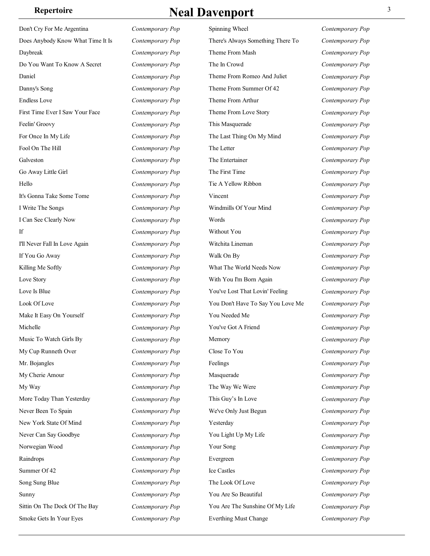Don't Cry For Me Argentina *Contemporary Pop* Does Anybody Know What Time It Is *Contemporary Pop* Daybreak *Contemporary Pop* Do You Want To Know A Secret *Contemporary Pop* Daniel *Contemporary Pop* Danny's Song *Contemporary Pop* Endless Love *Contemporary Pop* First Time Ever I Saw Your Face *Contemporary Pop* Feelin' Groovy *Contemporary Pop* For Once In My Life *Contemporary Pop* Fool On The Hill *Contemporary Pop* Galveston *Contemporary Pop* Go Away Little Girl *Contemporary Pop* Hello *Contemporary Pop* It's Gonna Take Some Tome *Contemporary Pop* I Write The Songs *Contemporary Pop* I Can See Clearly Now *Contemporary Pop* If *Contemporary Pop* I'll Never Fall In Love Again *Contemporary Pop* If You Go Away *Contemporary Pop* Killing Me Softly *Contemporary Pop* Love Story *Contemporary Pop* Love Is Blue *Contemporary Pop* Look Of Love *Contemporary Pop* Make It Easy On Yourself *Contemporary Pop* Michelle *Contemporary Pop* Music To Watch Girls By *Contemporary Pop* My Cup Runneth Over *Contemporary Pop* Mr. Bojangles *Contemporary Pop* My Cherie Amour *Contemporary Pop* My Way *Contemporary Pop* More Today Than Yesterday *Contemporary Pop* Never Been To Spain *Contemporary Pop* New York State Of Mind *Contemporary Pop* Never Can Say Goodbye *Contemporary Pop* Norwegian Wood *Contemporary Pop* Raindrops *Contemporary Pop* Summer Of 42 *Contemporary Pop* Song Sung Blue *Contemporary Pop* Sunny *Contemporary Pop* Sittin On The Dock Of The Bay *Contemporary Pop* Smoke Gets In Your Eyes *Contemporary Pop*

### **Repertoire Real Davenport 3**

Spinning Wheel *Contemporary Pop* There's Always Something There To Theme From Mash The In Crowd *Contemporary Pop* Theme From Romeo And Juliet *Contemporary Pop* Theme From Summer Of 42 *Contemporary Pop* Theme From Arthur *Contemporary Pop* Theme From Love Story *Contemporary Pop* This Masquerade *Contemporary Pop* The Last Thing On My Mind *Contemporary Pop* The Letter *Contemporary Pop* The Entertainer *Contemporary Pop* The First Time *Contemporary Pop* Tie A Yellow Ribbon *Contemporary Pop* Vincent *Contemporary Pop* Windmills Of Your Mind *Contemporary Pop* Words *Contemporary Pop* Without You *Contemporary Pop* Witchita Lineman *Contemporary Pop* Walk On By *Contemporary Pop* What The World Needs Now *Contemporary Pop* With You I'm Born Again *Contemporary Pop* You've Lost That Lovin' Feeling *Contemporary Pop* You Don't Have To Say You Love Me *Contemporary Pop* You Needed Me *Contemporary Pop* You've Got A Friend *Contemporary Pop* Memory *Contemporary Pop* Close To You *Contemporary Pop* Feelings *Contemporary Pop* Masquerade *Contemporary Pop* The Way We Were *Contemporary Pop* This Guy's In Love *Contemporary Pop* We've Only Just Begun *Contemporary Pop* Yesterday *Contemporary Pop* You Light Up My Life *Contemporary Pop* Your Song *Contemporary Pop* Evergreen *Contemporary Pop* Ice Castles *Contemporary Pop* The Look Of Love *Contemporary Pop* You Are So Beautiful *Contemporary Pop* You Are The Sunshine Of My Life *Contemporary Pop* Everthing Must Change *Contemporary Pop*

*Contemporary Pop* **Contemporary Pop**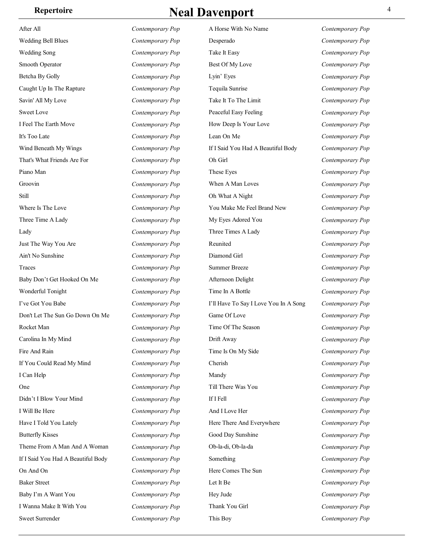| Repertoire | <b>Neal Davenport</b> |  |
|------------|-----------------------|--|
|            |                       |  |

| After All                          | Contemporary Pop | A Hors             |
|------------------------------------|------------------|--------------------|
| <b>Wedding Bell Blues</b>          | Contemporary Pop | Desper             |
| <b>Wedding Song</b>                | Contemporary Pop | Take It            |
| Smooth Operator                    | Contemporary Pop | Best O             |
| Betcha By Golly                    | Contemporary Pop | Lyin' I            |
| Caught Up In The Rapture           | Contemporary Pop | Tequila            |
| Savin' All My Love                 | Contemporary Pop | Take It            |
| <b>Sweet Love</b>                  | Contemporary Pop | Peacefi            |
| I Feel The Earth Move              | Contemporary Pop | How D              |
| It's Too Late                      | Contemporary Pop | Lean C             |
| Wind Beneath My Wings              | Contemporary Pop | If I Sai           |
| That's What Friends Are For        | Contemporary Pop | Oh Gir             |
| Piano Man                          | Contemporary Pop | These 1            |
| Groovin                            | Contemporary Pop | When.              |
| Still                              | Contemporary Pop | Oh Wh              |
| Where Is The Love                  | Contemporary Pop | You M              |
| Three Time A Lady                  | Contemporary Pop | My Ey              |
| Lady                               | Contemporary Pop | Three <sup>7</sup> |
| Just The Way You Are               | Contemporary Pop | Reunit             |
| Ain't No Sunshine                  | Contemporary Pop | Diamo:             |
| Traces                             | Contemporary Pop | Summ               |
| Baby Don't Get Hooked On Me        | Contemporary Pop | Afterno            |
| Wonderful Tonight                  | Contemporary Pop | Time In            |
| I've Got You Babe                  | Contemporary Pop | I'll Hav           |
| Don't Let The Sun Go Down On Me    | Contemporary Pop | Game <sup></sup>   |
| Rocket Man                         | Contemporary Pop | Time C             |
| Carolina In My Mind                | Contemporary Pop | Drift A            |
| Fire And Rain                      | Contemporary Pop | Time Is            |
| If You Could Read My Mind          | Contemporary Pop | Cherisl            |
| I Can Help                         | Contemporary Pop | Mandy              |
| One                                | Contemporary Pop | Till Th            |
| Didn't I Blow Your Mind            | Contemporary Pop | If I Fell          |
| I Will Be Here                     | Contemporary Pop | And I I            |
| Have I Told You Lately             | Contemporary Pop | Here T             |
| <b>Butterfly Kisses</b>            | Contemporary Pop | Good I             |
| Theme From A Man And A Woman       | Contemporary Pop | Ob-la-c            |
| If I Said You Had A Beautiful Body | Contemporary Pop | Someth             |
| On And On                          | Contemporary Pop | Here C             |
| <b>Baker Street</b>                | Contemporary Pop | Let It E           |
| Baby I'm A Want You                | Contemporary Pop | Hey Ju             |
| I Wanna Make It With You           | Contemporary Pop | Thank              |
| Sweet Surrender                    | Contemporary Pop | This B             |

A Horse With No Name *Contemporary Pop* ado *Contemporary Pop* Easy *Contemporary Pop* f My Love **Contemporary Pop** Eyes *Contemporary Pop* a Sunrise *Contemporary Pop* To The Limit *Contemporary Pop Contemporary Pop Contemporary Pop* eep Is Your Love *Contemporary Pop* **Contemporary Pop** If I Said You Had A Beautiful Body *Contemporary Pop* Oh Girl *Contemporary Pop* Eyes *Contemporary Pop* When A Man Loves *Contemporary Pop* at A Night **Contemporary Pop** ake Me Feel Brand New *Contemporary Pop* es Adored You *Contemporary Pop* Times A Lady *Contemporary Pop* ed contemporary Pop nd Girl **Contemporary Pop** er Breeze *Contemporary Pop* Afternoon Delight **Contemporary Pop** n A Bottle **Contemporary Pop** ve To Say I Love You In A Song *Contemporary Pop* Of Love *Contemporary Pop* Of The Season *Contemporary Pop* **Drift Away** *Contemporary Pop* s On My Side *Contemporary Pop* **Contemporary Pop Contemporary Pop There Was You** *Contemporary Pop* **Contemporary Pop** Love Her **Contemporary Pop** here And Everywhere *Contemporary Pop* Day Sunshine *Contemporary Pop* Obladi, Oblada *Contemporary Pop* hing *Contemporary Pop* Free Sun *Contemporary Pop* Be **Contemporary Pop** de *Contemporary Pop* You Girl **Contemporary Pop** This Boy *Contemporary Pop*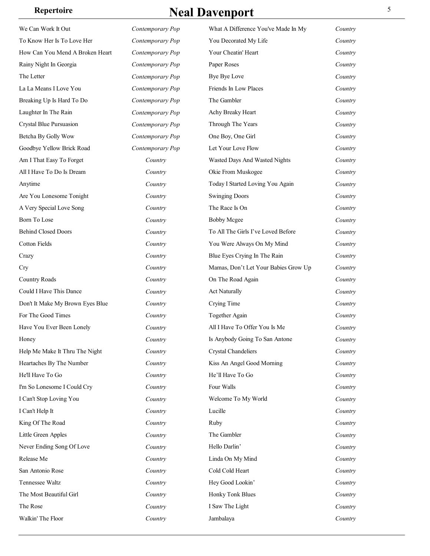| We Can Work It Out               | Contemporary Pop | What A Difference You've Made In My  | Country |
|----------------------------------|------------------|--------------------------------------|---------|
| To Know Her Is To Love Her       | Contemporary Pop | You Decorated My Life                | Country |
| How Can You Mend A Broken Heart  | Contemporary Pop | Your Cheatin' Heart                  | Country |
| Rainy Night In Georgia           | Contemporary Pop | Paper Roses                          | Country |
| The Letter                       | Contemporary Pop | Bye Bye Love                         | Country |
| La La Means I Love You           | Contemporary Pop | Friends In Low Places                | Country |
| Breaking Up Is Hard To Do        | Contemporary Pop | The Gambler                          | Country |
| Laughter In The Rain             | Contemporary Pop | Achy Breaky Heart                    | Country |
| Crystal Blue Pursuasion          | Contemporary Pop | Through The Years                    | Country |
| Betcha By Golly Wow              | Contemporary Pop | One Boy, One Girl                    | Country |
| Goodbye Yellow Brick Road        | Contemporary Pop | Let Your Love Flow                   | Country |
| Am I That Easy To Forget         | Country          | Wasted Days And Wasted Nights        | Country |
| All I Have To Do Is Dream        | Country          | Okie From Muskogee                   | Country |
| Anytime                          | Country          | Today I Started Loving You Again     | Country |
| Are You Lonesome Tonight         | Country          | <b>Swinging Doors</b>                | Country |
| A Very Special Love Song         | Country          | The Race Is On                       | Country |
| Born To Lose                     | Country          | <b>Bobby Mcgee</b>                   | Country |
| <b>Behind Closed Doors</b>       | Country          | To All The Girls I've Loved Before   | Country |
| Cotton Fields                    | Country          | You Were Always On My Mind           | Country |
| Crazy                            | Country          | Blue Eyes Crying In The Rain         | Country |
| Cry                              | Country          | Mamas, Don't Let Your Babies Grow Up | Country |
| <b>Country Roads</b>             | Country          | On The Road Again                    | Country |
| Could I Have This Dance          | Country          | <b>Act Naturally</b>                 | Country |
| Don't It Make My Brown Eyes Blue | Country          | Crying Time                          | Country |
| For The Good Times               | Country          | Together Again                       | Country |
| Have You Ever Been Lonely        | Country          | All I Have To Offer You Is Me        | Country |
| Honey                            | Country          | Is Anybody Going To San Antone       | Country |
| Help Me Make It Thru The Night   | Country          | Crystal Chandeliers                  | Country |
| Heartaches By The Number         | Country          | Kiss An Angel Good Morning           | Country |
| He'll Have To Go                 | Country          | He'll Have To Go                     | Country |
| I'm So Lonesome I Could Cry      | Country          | Four Walls                           | Country |
| I Can't Stop Loving You          | Country          | Welcome To My World                  | Country |
| I Can't Help It                  | Country          | Lucille                              | Country |
| King Of The Road                 | Country          | Ruby                                 | Country |
| Little Green Apples              | Country          | The Gambler                          | Country |
| Never Ending Song Of Love        | Country          | Hello Darlin'                        | Country |
| Release Me                       | Country          | Linda On My Mind                     | Country |
| San Antonio Rose                 | Country          | Cold Cold Heart                      | Country |
| Tennessee Waltz                  | Country          | Hey Good Lookin'                     | Country |
| The Most Beautiful Girl          | Country          | Honky Tonk Blues                     | Country |
| The Rose                         | Country          | I Saw The Light                      | Country |
| Walkin' The Floor                | Country          | Jambalaya                            | Country |
|                                  |                  |                                      |         |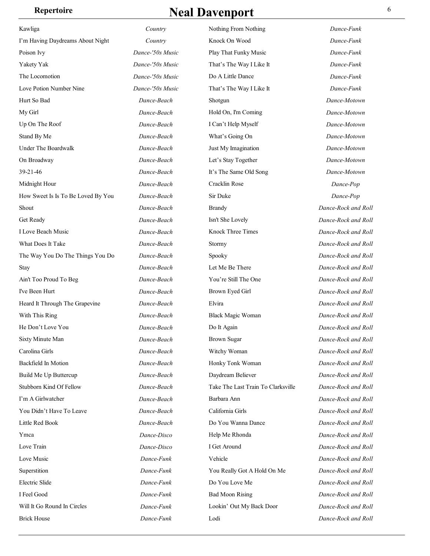| Kawliga                            | Country          | Nothing From Nothing               | Dance-Funk          |
|------------------------------------|------------------|------------------------------------|---------------------|
| I'm Having Daydreams About Night   | Country          | Knock On Wood                      | Dance-Funk          |
| Poison Ivy                         | Dance-'50s Music | Play That Funky Music              | Dance-Funk          |
| Yakety Yak                         | Dance-'50s Music | That's The Way I Like It           | Dance-Funk          |
| The Locomotion                     | Dance-'50s Music | Do A Little Dance                  | Dance-Funk          |
| Love Potion Number Nine            | Dance-'50s Music | That's The Way I Like It           | Dance-Funk          |
| Hurt So Bad                        | Dance-Beach      | Shotgun                            | Dance-Motown        |
| My Girl                            | Dance-Beach      | Hold On, I'm Coming                | Dance-Motown        |
| Up On The Roof                     | Dance-Beach      | I Can't Help Myself                | Dance-Motown        |
| Stand By Me                        | Dance-Beach      | What's Going On                    | Dance-Motown        |
| Under The Boardwalk                | Dance-Beach      | Just My Imagination                | Dance-Motown        |
| On Broadway                        | Dance-Beach      | Let's Stay Together                | Dance-Motown        |
| 39-21-46                           | Dance-Beach      | It's The Same Old Song             | Dance-Motown        |
| Midnight Hour                      | Dance-Beach      | Cracklin Rose                      | Dance-Pop           |
| How Sweet Is Is To Be Loved By You | Dance-Beach      | Sir Duke                           | Dance-Pop           |
| Shout                              | Dance-Beach      | <b>Brandy</b>                      | Dance-Rock and Roll |
| Get Ready                          | Dance-Beach      | Isn't She Lovely                   | Dance-Rock and Roll |
| I Love Beach Music                 | Dance-Beach      | Knock Three Times                  | Dance-Rock and Roll |
| What Does It Take                  | Dance-Beach      | Stormy                             | Dance-Rock and Roll |
| The Way You Do The Things You Do   | Dance-Beach      | Spooky                             | Dance-Rock and Roll |
| Stay                               | Dance-Beach      | Let Me Be There                    | Dance-Rock and Roll |
| Ain't Too Proud To Beg             | Dance-Beach      | You're Still The One               | Dance-Rock and Roll |
| I've Been Hurt                     | Dance-Beach      | Brown Eyed Girl                    | Dance-Rock and Roll |
| Heard It Through The Grapevine     | Dance-Beach      | Elvira                             | Dance-Rock and Roll |
| With This Ring                     | Dance-Beach      | <b>Black Magic Woman</b>           | Dance-Rock and Roll |
| He Don't Love You                  | Dance-Beach      | Do It Again                        | Dance-Rock and Roll |
| Sixty Minute Man                   | Dance-Beach      | <b>Brown Sugar</b>                 | Dance-Rock and Roll |
| Carolina Girls                     | Dance-Beach      | Witchy Woman                       | Dance-Rock and Roll |
| Backfield In Motion                | Dance-Beach      | Honky Tonk Woman                   | Dance-Rock and Roll |
| Build Me Up Buttercup              | Dance-Beach      | Daydream Believer                  | Dance-Rock and Roll |
| Stubborn Kind Of Fellow            | Dance-Beach      | Take The Last Train To Clarksville | Dance-Rock and Roll |
| I'm A Girlwatcher                  | Dance-Beach      | Barbara Ann                        | Dance-Rock and Roll |
| You Didn't Have To Leave           | Dance-Beach      | California Girls                   | Dance-Rock and Roll |
| Little Red Book                    | Dance-Beach      | Do You Wanna Dance                 | Dance-Rock and Roll |
| Ymca                               | Dance-Disco      | Help Me Rhonda                     | Dance-Rock and Roll |
| Love Train                         | Dance-Disco      | I Get Around                       | Dance-Rock and Roll |
| Love Music                         | Dance-Funk       | Vehicle                            | Dance-Rock and Roll |
| Superstition                       | Dance-Funk       | You Really Got A Hold On Me        | Dance-Rock and Roll |
| Electric Slide                     | Dance-Funk       | Do You Love Me                     | Dance-Rock and Roll |
| I Feel Good                        | Dance-Funk       | <b>Bad Moon Rising</b>             | Dance-Rock and Roll |
| Will It Go Round In Circles        | Dance-Funk       | Lookin' Out My Back Door           | Dance-Rock and Roll |
| <b>Brick House</b>                 | Dance-Funk       | Lodi                               | Dance-Rock and Roll |
|                                    |                  |                                    |                     |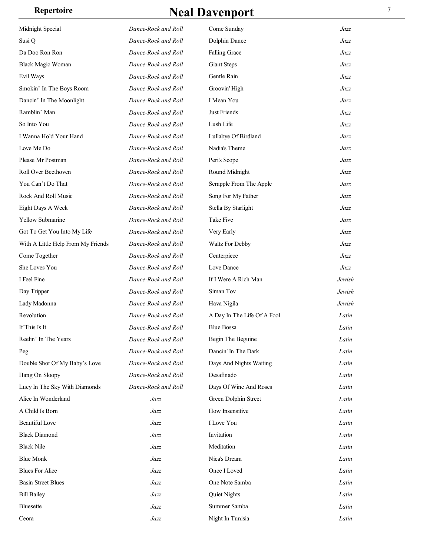| Midnight Special                   | Dance-Rock and Roll | Come Sunday                 | Jazz   |
|------------------------------------|---------------------|-----------------------------|--------|
| Susi Q                             | Dance-Rock and Roll | Dolphin Dance               | Jazz   |
| Da Doo Ron Ron                     | Dance-Rock and Roll | <b>Falling Grace</b>        | Jazz   |
| <b>Black Magic Woman</b>           | Dance-Rock and Roll | <b>Giant Steps</b>          | Jazz   |
| Evil Ways                          | Dance-Rock and Roll | Gentle Rain                 | Jazz   |
| Smokin' In The Boys Room           | Dance-Rock and Roll | Groovin' High               | Jazz   |
| Dancin' In The Moonlight           | Dance-Rock and Roll | I Mean You                  | Jazz   |
| Ramblin' Man                       | Dance-Rock and Roll | Just Friends                | Jazz   |
| So Into You                        | Dance-Rock and Roll | Lush Life                   | Jazz   |
| I Wanna Hold Your Hand             | Dance-Rock and Roll | Lullabye Of Birdland        | Jazz   |
| Love Me Do                         | Dance-Rock and Roll | Nadia's Theme               | Jazz   |
| Please Mr Postman                  | Dance-Rock and Roll | Peri's Scope                | Jazz   |
| Roll Over Beethoven                | Dance-Rock and Roll | Round Midnight              | Jazz   |
| You Can't Do That                  | Dance-Rock and Roll | Scrapple From The Apple     | Jazz   |
| Rock And Roll Music                | Dance-Rock and Roll | Song For My Father          | Jazz   |
| Eight Days A Week                  | Dance-Rock and Roll | Stella By Starlight         | Jazz   |
| Yellow Submarine                   | Dance-Rock and Roll | Take Five                   | Jazz   |
| Got To Get You Into My Life        | Dance-Rock and Roll | Very Early                  | Jazz   |
| With A Little Help From My Friends | Dance-Rock and Roll | Waltz For Debby             | Jazz   |
| Come Together                      | Dance-Rock and Roll | Centerpiece                 | Jazz   |
| She Loves You                      | Dance-Rock and Roll | Love Dance                  | Jazz   |
| I Feel Fine                        | Dance-Rock and Roll | If I Were A Rich Man        | Jewish |
| Day Tripper                        | Dance-Rock and Roll | Siman Tov                   | Jewish |
| Lady Madonna                       | Dance-Rock and Roll | Hava Nigila                 | Jewish |
| Revolution                         | Dance-Rock and Roll | A Day In The Life Of A Fool | Latin  |
| If This Is It                      | Dance-Rock and Roll | <b>Blue Bossa</b>           | Latin  |
| Reelin' In The Years               | Dance-Rock and Roll | Begin The Beguine           | Latin  |
| Peg                                | Dance-Rock and Roll | Dancin' In The Dark         | Latin  |
| Double Shot Of My Baby's Love      | Dance-Rock and Roll | Days And Nights Waiting     | Latin  |
| Hang On Sloopy                     | Dance-Rock and Roll | Desafinado                  | Latin  |
| Lucy In The Sky With Diamonds      | Dance-Rock and Roll | Days Of Wine And Roses      | Latin  |
| Alice In Wonderland                | Jazz                | Green Dolphin Street        | Latin  |
| A Child Is Born                    | Jazz                | How Insensitive             | Latin  |
| <b>Beautiful Love</b>              | Jazz                | I Love You                  | Latin  |
| <b>Black Diamond</b>               | Jazz                | Invitation                  | Latin  |
| <b>Black Nile</b>                  | Jazz                | Meditation                  | Latin  |
| <b>Blue Monk</b>                   | Jazz                | Nica's Dream                | Latin  |
| <b>Blues For Alice</b>             | Jazz                | Once I Loved                | Latin  |
| <b>Basin Street Blues</b>          | Jazz                | One Note Samba              | Latin  |
| <b>Bill Bailey</b>                 | $\it{Jazz}$         | Quiet Nights                | Latin  |
| <b>Bluesette</b>                   | Jazz                | Summer Samba                | Latin  |
| Ceora                              | Jazz                | Night In Tunisia            | Latin  |
|                                    |                     |                             |        |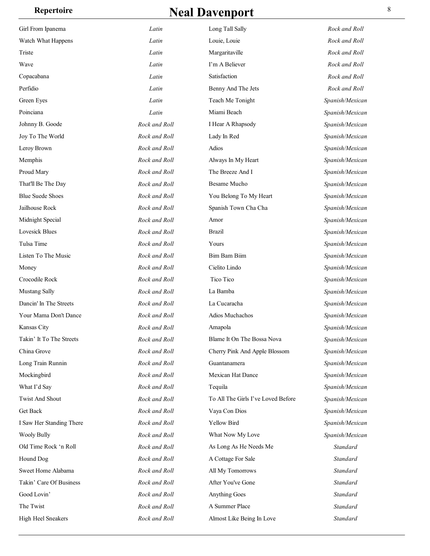### **Repertoire Repertoire Real Davenport** 8

| Girl From Ipanema        | Latin         | Long Tall Sally                    | Rock and Roll   |
|--------------------------|---------------|------------------------------------|-----------------|
| Watch What Happens       | Latin         | Louie, Louie                       | Rock and Roll   |
| Triste                   | Latin         | Margaritaville                     | Rock and Roll   |
| Wave                     | Latin         | I'm A Believer                     | Rock and Roll   |
| Copacabana               | Latin         | Satisfaction                       | Rock and Roll   |
| Perfidio                 | Latin         | Benny And The Jets                 | Rock and Roll   |
| Green Eyes               | Latin         | Teach Me Tonight                   | Spanish/Mexican |
| Poinciana                | Latin         | Miami Beach                        | Spanish/Mexican |
| Johnny B. Goode          | Rock and Roll | I Hear A Rhapsody                  | Spanish/Mexican |
| Joy To The World         | Rock and Roll | Lady In Red                        | Spanish/Mexican |
| Leroy Brown              | Rock and Roll | Adios                              | Spanish/Mexican |
| Memphis                  | Rock and Roll | Always In My Heart                 | Spanish/Mexican |
| Proud Mary               | Rock and Roll | The Breeze And I                   | Spanish/Mexican |
| That'll Be The Day       | Rock and Roll | <b>Besame Mucho</b>                | Spanish/Mexican |
| <b>Blue Suede Shoes</b>  | Rock and Roll | You Belong To My Heart             | Spanish/Mexican |
| Jailhouse Rock           | Rock and Roll | Spanish Town Cha Cha               | Spanish/Mexican |
| Midnight Special         | Rock and Roll | Amor                               | Spanish/Mexican |
| Lovesick Blues           | Rock and Roll | <b>Brazil</b>                      | Spanish/Mexican |
| Tulsa Time               | Rock and Roll | Yours                              | Spanish/Mexican |
| Listen To The Music      | Rock and Roll | <b>Bim Bam Biim</b>                | Spanish/Mexican |
| Money                    | Rock and Roll | Cielito Lindo                      | Spanish/Mexican |
| Crocodile Rock           | Rock and Roll | Tico Tico                          | Spanish/Mexican |
| Mustang Sally            | Rock and Roll | La Bamba                           | Spanish/Mexican |
| Dancin' In The Streets   | Rock and Roll | La Cucaracha                       | Spanish/Mexican |
| Your Mama Don't Dance    | Rock and Roll | Adios Muchachos                    | Spanish/Mexican |
| Kansas City              | Rock and Roll | Amapola                            | Spanish/Mexican |
| Takin' It To The Streets | Rock and Roll | Blame It On The Bossa Nova         | Spanish/Mexican |
| China Grove              | Rock and Roll | Cherry Pink And Apple Blossom      | Spanish/Mexican |
| Long Train Runnin        | Rock and Roll | Guantanamera                       | Spanish/Mexican |
| Mockingbird              | Rock and Roll | <b>Mexican Hat Dance</b>           | Spanish/Mexican |
| What I'd Say             | Rock and Roll | Tequila                            | Spanish/Mexican |
| <b>Twist And Shout</b>   | Rock and Roll | To All The Girls I've Loved Before | Spanish/Mexican |
| Get Back                 | Rock and Roll | Vaya Con Dios                      | Spanish/Mexican |
| I Saw Her Standing There | Rock and Roll | Yellow Bird                        | Spanish/Mexican |
| <b>Wooly Bully</b>       | Rock and Roll | What Now My Love                   | Spanish/Mexican |
| Old Time Rock 'n Roll    | Rock and Roll | As Long As He Needs Me             | Standard        |
| Hound Dog                | Rock and Roll | A Cottage For Sale                 | Standard        |
| Sweet Home Alabama       | Rock and Roll | All My Tomorrows                   | Standard        |
| Takin' Care Of Business  | Rock and Roll | After You've Gone                  | Standard        |
| Good Lovin'              | Rock and Roll | Anything Goes                      | Standard        |
| The Twist                | Rock and Roll | A Summer Place                     | Standard        |
| High Heel Sneakers       | Rock and Roll | Almost Like Being In Love          | Standard        |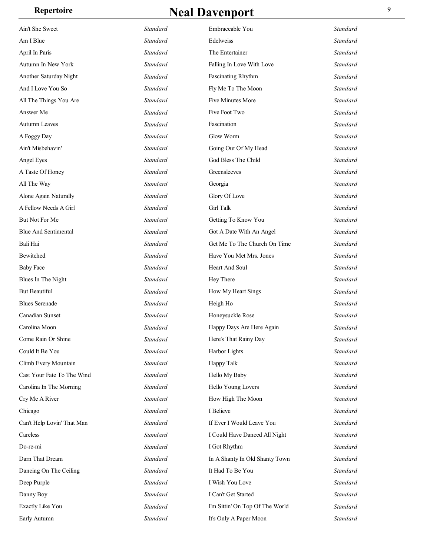| Ain't She Sweet             | Standard        | Embraceable You                 | Standard |
|-----------------------------|-----------------|---------------------------------|----------|
| Am I Blue                   | Standard        | Edelweiss                       | Standard |
| April In Paris              | Standard        | The Entertainer                 | Standard |
| Autumn In New York          | Standard        | Falling In Love With Love       | Standard |
| Another Saturday Night      | Standard        | <b>Fascinating Rhythm</b>       | Standard |
| And I Love You So           | Standard        | Fly Me To The Moon              | Standard |
| All The Things You Are      | Standard        | Five Minutes More               | Standard |
| Answer Me                   | Standard        | Five Foot Two                   | Standard |
| Autumn Leaves               | Standard        | Fascination                     | Standard |
| A Foggy Day                 | Standard        | Glow Worm                       | Standard |
| Ain't Misbehavin'           | <b>Standard</b> | Going Out Of My Head            | Standard |
| Angel Eyes                  | Standard        | God Bless The Child             | Standard |
| A Taste Of Honey            | Standard        | Greensleeves                    | Standard |
| All The Way                 | Standard        | Georgia                         | Standard |
| Alone Again Naturally       | Standard        | Glory Of Love                   | Standard |
| A Fellow Needs A Girl       | Standard        | Girl Talk                       | Standard |
| But Not For Me              | Standard        | Getting To Know You             | Standard |
| <b>Blue And Sentimental</b> | Standard        | Got A Date With An Angel        | Standard |
| Bali Hai                    | Standard        | Get Me To The Church On Time    | Standard |
| Bewitched                   | Standard        | Have You Met Mrs. Jones         | Standard |
| <b>Baby Face</b>            | Standard        | Heart And Soul                  | Standard |
| Blues In The Night          | Standard        | Hey There                       | Standard |
| But Beautiful               | <b>Standard</b> | How My Heart Sings              | Standard |
| <b>Blues Serenade</b>       | Standard        | Heigh Ho                        | Standard |
| Canadian Sunset             | Standard        | Honeysuckle Rose                | Standard |
| Carolina Moon               | Standard        | Happy Days Are Here Again       | Standard |
| Come Rain Or Shine          | Standard        | Here's That Rainy Day           | Standard |
| Could It Be You             | Standard        | Harbor Lights                   | Standard |
| Climb Every Mountain        | Standard        | Happy Talk                      | Standard |
| Cast Your Fate To The Wind  | Standard        | Hello My Baby                   | Standard |
| Carolina In The Morning     | Standard        | Hello Young Lovers              | Standard |
| Cry Me A River              | <b>Standard</b> | How High The Moon               | Standard |
| Chicago                     | Standard        | I Believe                       | Standard |
| Can't Help Lovin' That Man  | Standard        | If Ever I Would Leave You       | Standard |
| Careless                    | Standard        | I Could Have Danced All Night   | Standard |
| Do-re-mi                    | Standard        | I Got Rhythm                    | Standard |
| Darn That Dream             | Standard        | In A Shanty In Old Shanty Town  | Standard |
| Dancing On The Ceiling      | Standard        | It Had To Be You                | Standard |
| Deep Purple                 | Standard        | I Wish You Love                 | Standard |
| Danny Boy                   | Standard        | I Can't Get Started             | Standard |
| <b>Exactly Like You</b>     | Standard        | I'm Sittin' On Top Of The World | Standard |
| Early Autumn                | Standard        | It's Only A Paper Moon          | Standard |
|                             |                 |                                 |          |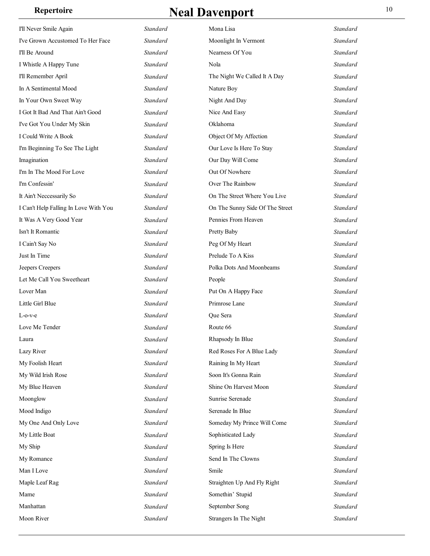| I'll Never Smile Again                | <b>Standard</b> | Mona Lisa                       | Standard |
|---------------------------------------|-----------------|---------------------------------|----------|
| I've Grown Accustomed To Her Face     | Standard        | Moonlight In Vermont            | Standard |
| I'll Be Around                        | Standard        | Nearness Of You                 | Standard |
| I Whistle A Happy Tune                | Standard        | Nola                            | Standard |
| I'll Remember April                   | <b>Standard</b> | The Night We Called It A Day    | Standard |
| In A Sentimental Mood                 | Standard        | Nature Boy                      | Standard |
| In Your Own Sweet Way                 | Standard        | Night And Day                   | Standard |
| I Got It Bad And That Ain't Good      | Standard        | Nice And Easy                   | Standard |
| I've Got You Under My Skin            | Standard        | Oklahoma                        | Standard |
| I Could Write A Book                  | Standard        | Object Of My Affection          | Standard |
| I'm Beginning To See The Light        | <b>Standard</b> | Our Love Is Here To Stay        | Standard |
| Imagination                           | Standard        | Our Day Will Come               | Standard |
| I'm In The Mood For Love              | Standard        | Out Of Nowhere                  | Standard |
| I'm Confessin'                        | Standard        | Over The Rainbow                | Standard |
| It Ain't Neccessarily So              | Standard        | On The Street Where You Live    | Standard |
| I Can't Help Falling In Love With You | Standard        | On The Sunny Side Of The Street | Standard |
| It Was A Very Good Year               | <b>Standard</b> | Pennies From Heaven             | Standard |
| Isn't It Romantic                     | Standard        | Pretty Baby                     | Standard |
| I Cain't Say No                       | Standard        | Peg Of My Heart                 | Standard |
| Just In Time                          | Standard        | Prelude To A Kiss               | Standard |
| Jeepers Creepers                      | Standard        | Polka Dots And Moonbeams        | Standard |
| Let Me Call You Sweetheart            | Standard        | People                          | Standard |
| Lover Man                             | <b>Standard</b> | Put On A Happy Face             | Standard |
| Little Girl Blue                      | Standard        | Primrose Lane                   | Standard |
| L-o-v-e                               | <b>Standard</b> | Que Sera                        | Standard |
| Love Me Tender                        | Standard        | Route 66                        | Standard |
| Laura                                 | Standard        | Rhapsody In Blue                | Standard |
| Lazy River                            | Standard        | Red Roses For A Blue Lady       | Standard |
| My Foolish Heart                      | Standard        | Raining In My Heart             | Standard |
| My Wild Irish Rose                    | Standard        | Soon It's Gonna Rain            | Standard |
| My Blue Heaven                        | Standard        | Shine On Harvest Moon           | Standard |
| Moonglow                              | Standard        | Sunrise Serenade                | Standard |
| Mood Indigo                           | Standard        | Serenade In Blue                | Standard |
| My One And Only Love                  | Standard        | Someday My Prince Will Come     | Standard |
| My Little Boat                        | Standard        | Sophisticated Lady              | Standard |
| My Ship                               | Standard        | Spring Is Here                  | Standard |
| My Romance                            | Standard        | Send In The Clowns              | Standard |
| Man I Love                            | Standard        | Smile                           | Standard |
| Maple Leaf Rag                        | Standard        | Straighten Up And Fly Right     | Standard |
| Mame                                  | Standard        | Somethin' Stupid                | Standard |
| Manhattan                             | Standard        | September Song                  | Standard |
| Moon River                            | Standard        | Strangers In The Night          | Standard |
|                                       |                 |                                 |          |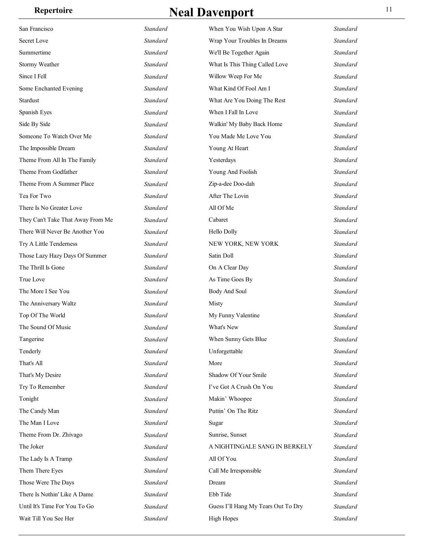| San Francisco                     | Standard | When You Wish Upon A Star           | Standard |
|-----------------------------------|----------|-------------------------------------|----------|
| Secret Love                       | Standard | Wrap Your Troubles In Dreams        | Standard |
| Summertime                        | Standard | We'll Be Together Again             | Standard |
| Stormy Weather                    | Standard | What Is This Thing Called Love      | Standard |
| Since I Fell                      | Standard | Willow Weep For Me                  | Standard |
| Some Enchanted Evening            | Standard | What Kind Of Fool Am I              | Standard |
| Stardust                          | Standard | What Are You Doing The Rest         | Standard |
| Spanish Eyes                      | Standard | When I Fall In Love                 | Standard |
| Side By Side                      | Standard | Walkin' My Baby Back Home           | Standard |
| Someone To Watch Over Me          | Standard | You Made Me Love You                | Standard |
| The Impossible Dream              | Standard | Young At Heart                      | Standard |
| Theme From All In The Family      | Standard | Yesterdays                          | Standard |
| Theme From Godfather              | Standard | Young And Foolish                   | Standard |
| Theme From A Summer Place         | Standard | Zip-a-dee Doo-dah                   | Standard |
| Tea For Two                       | Standard | After The Lovin                     | Standard |
| There Is No Greater Love          | Standard | All Of Me                           | Standard |
| They Can't Take That Away From Me | Standard | Cabaret                             | Standard |
| There Will Never Be Another You   | Standard | <b>Hello Dolly</b>                  | Standard |
| Try A Little Tenderness           | Standard | NEW YORK, NEW YORK                  | Standard |
| Those Lazy Hazy Days Of Summer    | Standard | Satin Doll                          | Standard |
| The Thrill Is Gone                | Standard | On A Clear Day                      | Standard |
| True Love                         | Standard | As Time Goes By                     | Standard |
| The More I See You                | Standard | <b>Body And Soul</b>                | Standard |
| The Anniversary Waltz             | Standard | Misty                               | Standard |
| Top Of The World                  | Standard | My Funny Valentine                  | Standard |
| The Sound Of Music                | Standard | What's New                          | Standard |
| Tangerine                         | Standard | When Sunny Gets Blue                | Standard |
| Tenderly                          | Standard | Unforgettable                       | Standard |
| That's All                        | Standard | More                                | Standard |
| That's My Desire                  | Standard | Shadow Of Your Smile                | Standard |
| Try To Remember                   | Standard | I've Got A Crush On You             | Standard |
| Tonight                           | Standard | Makin' Whoopee                      | Standard |
| The Candy Man                     | Standard | Puttin' On The Ritz                 | Standard |
| The Man I Love                    | Standard | Sugar                               | Standard |
| Theme From Dr. Zhivago            | Standard | Sunrise, Sunset                     | Standard |
| The Joker                         | Standard | A NIGHTINGALE SANG IN BERKELY       | Standard |
| The Lady Is A Tramp               | Standard | All Of You                          | Standard |
| Them There Eyes                   | Standard | Call Me Irresponsible               | Standard |
| Those Were The Days               | Standard | Dream                               | Standard |
| There Is Nothin' Like A Dame      | Standard | Ebb Tide                            | Standard |
| Until It's Time For You To Go     | Standard | Guess I'll Hang My Tears Out To Dry | Standard |
| Wait Till You See Her             | Standard | <b>High Hopes</b>                   | Standard |
|                                   |          |                                     |          |